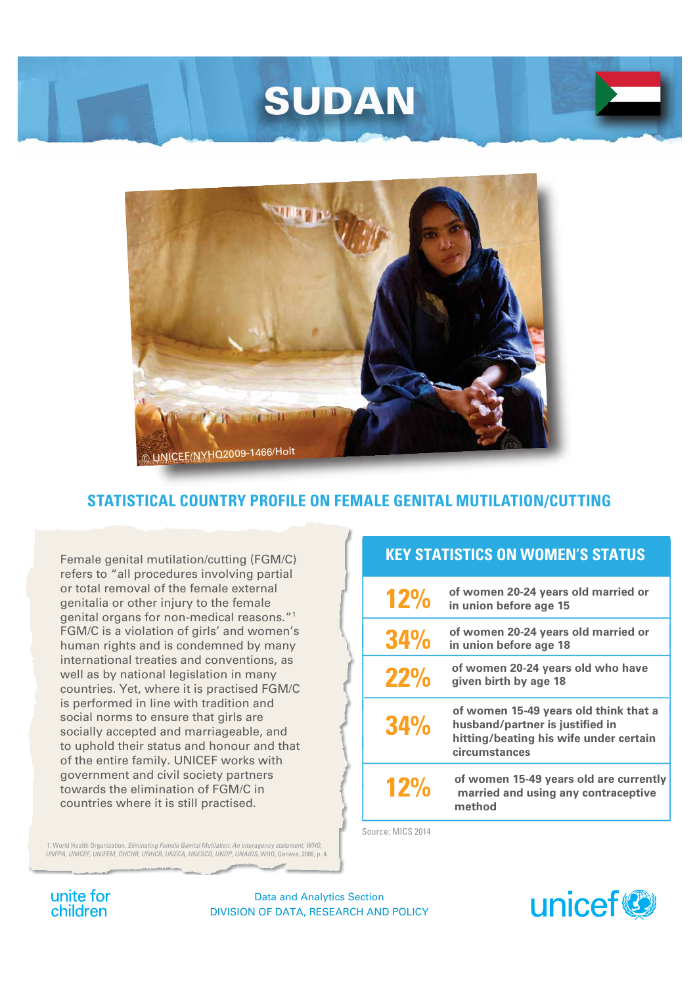# SUDAN



# STATISTICAL COUNTRY PROFILE ON FEMALE GENITAL MUTILATION/CUTTING

Female genital mutilation/cutting (FGM/C) refers to "all procedures involving partial or total removal of the female external genitalia or other injury to the female genital organs for non-medical reasons."<sup>1</sup> FGM/C is a violation of girls' and women's human rights and is condemned by many international treaties and conventions, as well as by national legislation in many countries. Yet, where it is practised FGM/C is performed in line with tradition and social norms to ensure that girls are socially accepted and marriageable, and to uphold their status and honour and that of the entire family. UNICEF works with government and civil society partners towards the elimination of FGM/C in countries where it is still practised.

1. World Health Organization, Eliminating Female Genital Mutilation: An interagency statement, WHI UNFPA. (UNFEM. OHCHR. UNIFCR. UNECA. UNFEM. 2008.) cy statement WHO

#### **KEY STATISTICS ON WOMEN'S STATUS**

| 12%        | of women 20-24 years old married or<br>in union before age 15                                                                       |
|------------|-------------------------------------------------------------------------------------------------------------------------------------|
| <b>34%</b> | of women 20-24 years old married or<br>in union before age 18                                                                       |
| 22%        | of women 20-24 years old who have<br>given birth by age 18                                                                          |
| <b>34%</b> | of women 15-49 years old think that a<br>husband/partner is justified in<br>hitting/beating his wife under certain<br>circumstances |
| 12%        | of women 15-49 years old are currently<br>married and using any contraceptive<br>method                                             |

Source: MICS 2014

unite for children

**Data and Analytics Section** DIVISION OF DATA, RESEARCH AND POLICY

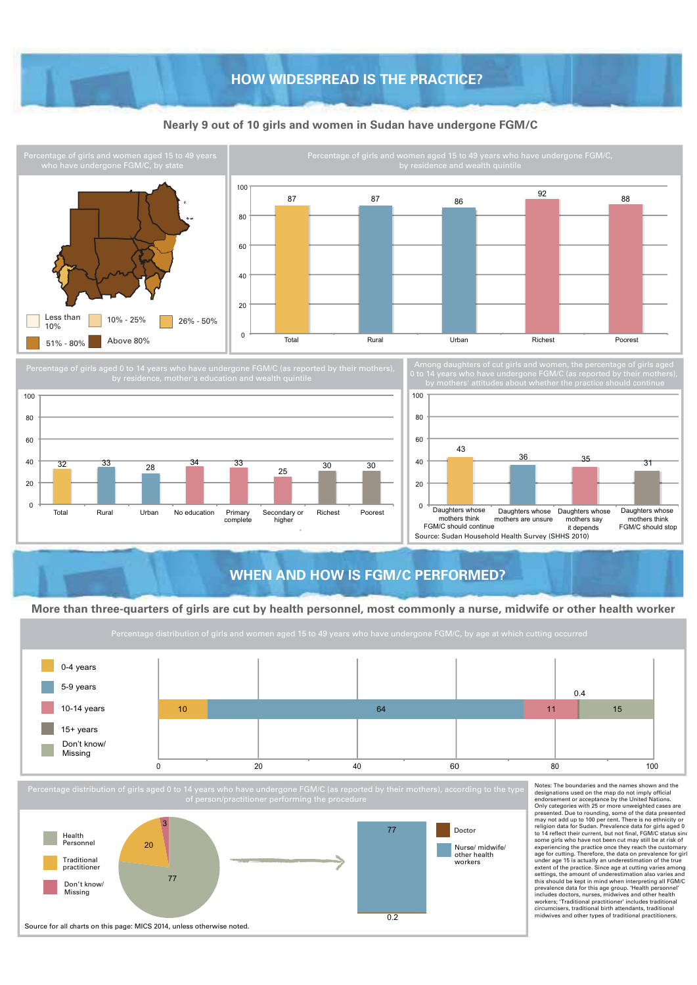### **HOW WIDESPREAD IS THE PRACTICE?**

#### **Nearly 9 out of 10 girls and women in Sudan have undergone FGM/C**





### **WHEN AND HOW IS FGM/C PERFORMED?**

#### **More than three-quarters of girls are cut by health personnel, most commonly a nurse, midwife or other health worker**

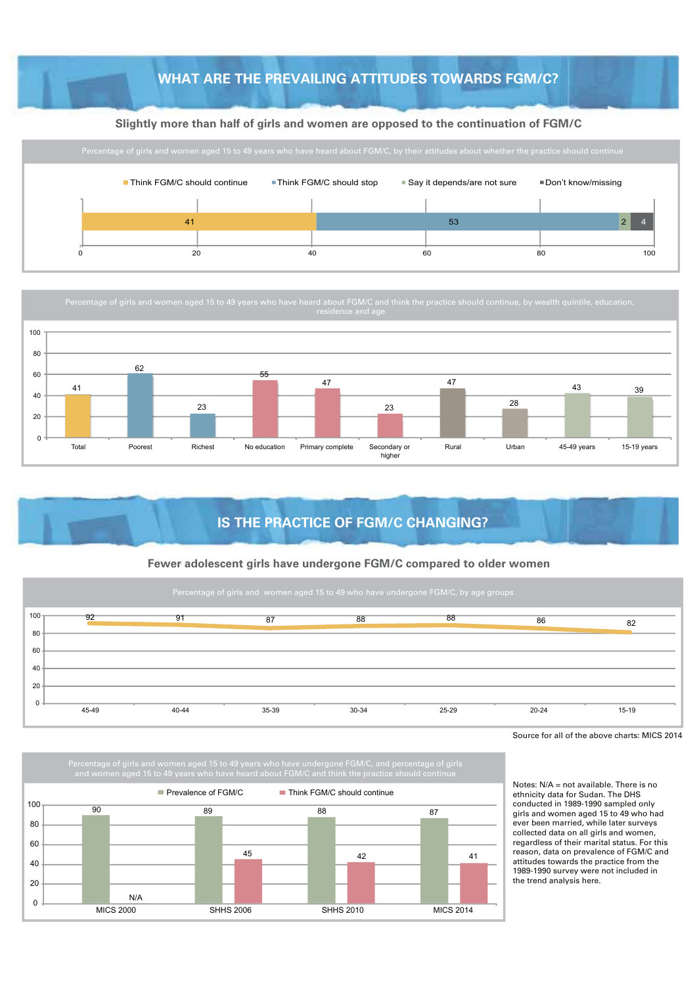## **WHAT ARE THE PREVAILING ATTITUDES TOWARDS FGM/C?**

#### **Slightly more than half of girls and women are opposed to the continuation of FGM/C**



Percentage of girls and women aged 15 to 49 years who have heard about FGM/C and think the practice should continue, by wealth quintile, education,



# **IS THE PRACTICE OF FGM/C CHANGING?**

#### **Fewer adolescent girls have undergone FGM/C compared to older women**



Source for all of the above charts: MICS 2014





Notes: N/A = not available. There is no ethnicity data for Sudan. The DHS conducted in 1989-1990 sampled only girls and women aged 15 to 49 who had ever been married, while later surveys collected data on all girls and women, regardless of their marital status. For this reason, data on prevalence of FGM/C and attitudes towards the practice from the 1989-1990 survey were not included in the trend analysis here.